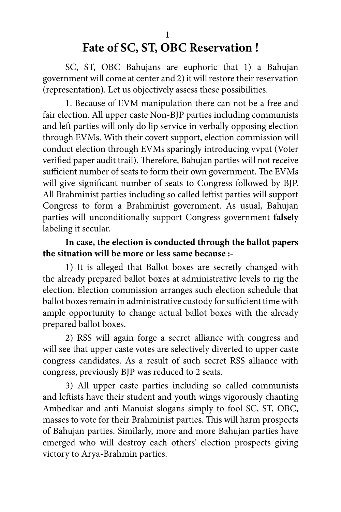# **Fate of SC, ST, OBC Reservation !**

SC, ST, OBC Bahujans are euphoric that 1) a Bahujan government will come at center and 2) it will restore their reservation (representation). Let us objectively assess these possibilities.

1. Because of EVM manipulation there can not be a free and fair election. All upper caste Non-BJP parties including communists and left parties will only do lip service in verbally opposing election through EVMs. With their covert support, election commission will conduct election through EVMs sparingly introducing vvpat (Voter verified paper audit trail). Therefore, Bahujan parties will not receive sufficient number of seats to form their own government. The EVMs will give significant number of seats to Congress followed by BJP. All Brahminist parties including so called leftist parties will support Congress to form a Brahminist government. As usual, Bahujan parties will unconditionally support Congress government **falsely**  labeling it secular.

#### **In case, the election is conducted through the ballot papers the situation will be more or less same because :-**

1) It is alleged that Ballot boxes are secretly changed with the already prepared ballot boxes at administrative levels to rig the election. Election commission arranges such election schedule that ballot boxes remain in administrative custody for sufficient time with ample opportunity to change actual ballot boxes with the already prepared ballot boxes.

2) RSS will again forge a secret alliance with congress and will see that upper caste votes are selectively diverted to upper caste congress candidates. As a result of such secret RSS alliance with congress, previously BJP was reduced to 2 seats.

3) All upper caste parties including so called communists and leftists have their student and youth wings vigorously chanting Ambedkar and anti Manuist slogans simply to fool SC, ST, OBC, masses to vote for their Brahminist parties. This will harm prospects of Bahujan parties. Similarly, more and more Bahujan parties have emerged who will destroy each others' election prospects giving victory to Arya-Brahmin parties.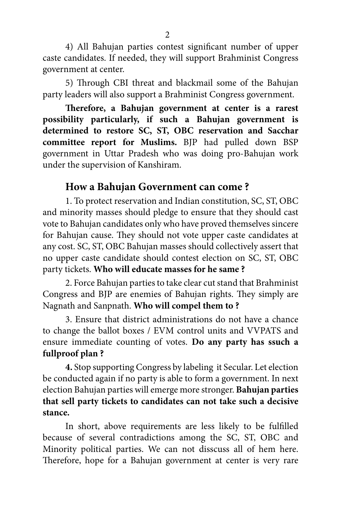4) All Bahujan parties contest significant number of upper caste candidates. If needed, they will support Brahminist Congress government at center.

5) Through CBI threat and blackmail some of the Bahujan party leaders will also support a Brahminist Congress government.

**Therefore, a Bahujan government at center is a rarest possibility particularly, if such a Bahujan government is determined to restore SC, ST, OBC reservation and Sacchar committee report for Muslims.** BJP had pulled down BSP government in Uttar Pradesh who was doing pro-Bahujan work under the supervision of Kanshiram.

### **How a Bahujan Government can come ?**

1. To protect reservation and Indian constitution, SC, ST, OBC and minority masses should pledge to ensure that they should cast vote to Bahujan candidates only who have proved themselves sincere for Bahujan cause. They should not vote upper caste candidates at any cost. SC, ST, OBC Bahujan masses should collectively assert that no upper caste candidate should contest election on SC, ST, OBC party tickets. **Who will educate masses for he same ?**

2. Force Bahujan parties to take clear cut stand that Brahminist Congress and BJP are enemies of Bahujan rights. They simply are Nagnath and Sanpnath. **Who will compel them to ?**

3. Ensure that district administrations do not have a chance to change the ballot boxes / EVM control units and VVPATS and ensure immediate counting of votes. **Do any party has ssuch a fullproof plan ?**

**4.** Stop supporting Congress by labeling it Secular. Let election be conducted again if no party is able to form a government. In next election Bahujan parties will emerge more stronger. **Bahujan parties that sell party tickets to candidates can not take such a decisive stance.**

In short, above requirements are less likely to be fulfilled because of several contradictions among the SC, ST, OBC and Minority political parties. We can not disscuss all of hem here. Therefore, hope for a Bahujan government at center is very rare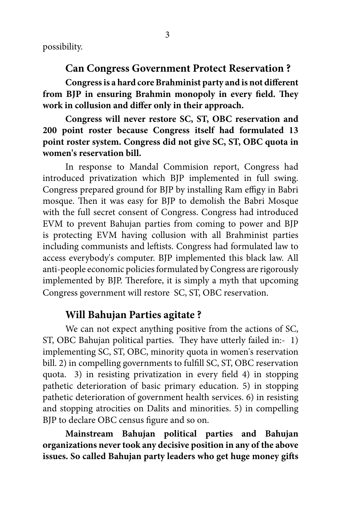possibility.

**Can Congress Government Protect Reservation ?**

**Congress is a hard core Brahminist party and is not different from BJP in ensuring Brahmin monopoly in every field. They work in collusion and differ only in their approach.** 

**Congress will never restore SC, ST, OBC reservation and 200 point roster because Congress itself had formulated 13 point roster system. Congress did not give SC, ST, OBC quota in women's reservation bill.**

In response to Mandal Commision report, Congress had introduced privatization which BJP implemented in full swing. Congress prepared ground for BJP by installing Ram effigy in Babri mosque. Then it was easy for BJP to demolish the Babri Mosque with the full secret consent of Congress. Congress had introduced EVM to prevent Bahujan parties from coming to power and BJP is protecting EVM having collusion with all Brahminist parties including communists and leftists. Congress had formulated law to access everybody's computer. BJP implemented this black law. All anti-people economic policies formulated by Congress are rigorously implemented by BJP. Therefore, it is simply a myth that upcoming Congress government will restore SC, ST, OBC reservation.

#### **Will Bahujan Parties agitate ?**

We can not expect anything positive from the actions of SC, ST, OBC Bahujan political parties. They have utterly failed in:- 1) implementing SC, ST, OBC, minority quota in women's reservation bill. 2) in compelling governments to fulfill SC, ST, OBC reservation quota. 3) in resisting privatization in every field 4) in stopping pathetic deterioration of basic primary education. 5) in stopping pathetic deterioration of government health services. 6) in resisting and stopping atrocities on Dalits and minorities. 5) in compelling BJP to declare OBC census figure and so on.

**Mainstream Bahujan political parties and Bahujan organizations never took any decisive position in any of the above issues. So called Bahujan party leaders who get huge money gifts**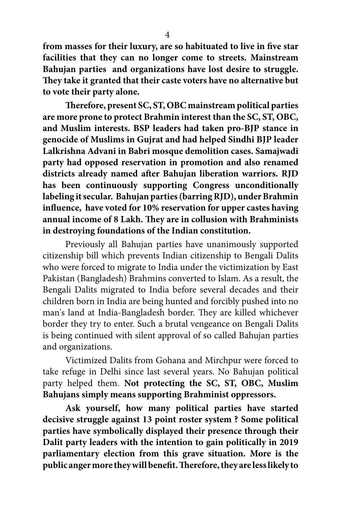**from masses for their luxury, are so habituated to live in five star facilities that they can no longer come to streets. Mainstream Bahujan parties and organizations have lost desire to struggle. They take it granted that their caste voters have no alternative but to vote their party alone.** 

**Therefore, present SC, ST, OBC mainstream political parties are more prone to protect Brahmin interest than the SC, ST, OBC, and Muslim interests. BSP leaders had taken pro-BJP stance in genocide of Muslims in Gujrat and had helped Sindhi BJP leader Lalkrishna Advani in Babri mosque demolition cases. Samajwadi party had opposed reservation in promotion and also renamed districts already named after Bahujan liberation warriors. RJD has been continuously supporting Congress unconditionally labeling it secular. Bahujan parties (barring RJD), under Brahmin influence, have voted for 10% reservation for upper castes having annual income of 8 Lakh. They are in collusion with Brahminists in destroying foundations of the Indian constitution.**

Previously all Bahujan parties have unanimously supported citizenship bill which prevents Indian citizenship to Bengali Dalits who were forced to migrate to India under the victimization by East Pakistan (Bangladesh) Brahmins converted to Islam. As a result, the Bengali Dalits migrated to India before several decades and their children born in India are being hunted and forcibly pushed into no man's land at India-Bangladesh border. They are killed whichever border they try to enter. Such a brutal vengeance on Bengali Dalits is being continued with silent approval of so called Bahujan parties and organizations.

Victimized Dalits from Gohana and Mirchpur were forced to take refuge in Delhi since last several years. No Bahujan political party helped them. **Not protecting the SC, ST, OBC, Muslim Bahujans simply means supporting Brahminist oppressors.**

**Ask yourself, how many political parties have started decisive struggle against 13 point roster system ? Some political parties have symbolically displayed their presence through their Dalit party leaders with the intention to gain politically in 2019 parliamentary election from this grave situation. More is the public anger more they will benefit. Therefore, they are less likely to**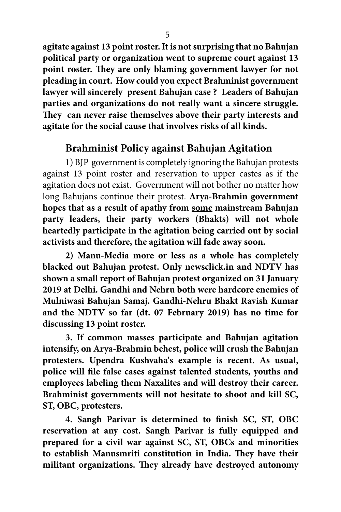**agitate against 13 point roster. It is not surprising that no Bahujan political party or organization went to supreme court against 13 point roster. They are only blaming government lawyer for not pleading in court. How could you expect Brahminist government lawyer will sincerely present Bahujan case ? Leaders of Bahujan parties and organizations do not really want a sincere struggle. They can never raise themselves above their party interests and agitate for the social cause that involves risks of all kinds.**

## **Brahminist Policy against Bahujan Agitation**

1) BJP government is completely ignoring the Bahujan protests against 13 point roster and reservation to upper castes as if the agitation does not exist. Government will not bother no matter how long Bahujans continue their protest. **Arya-Brahmin government hopes that as a result of apathy from some mainstream Bahujan party leaders, their party workers (Bhakts) will not whole heartedly participate in the agitation being carried out by social activists and therefore, the agitation will fade away soon.**

**2) Manu-Media more or less as a whole has completely blacked out Bahujan protest. Only newsclick.in and NDTV has shown a small report of Bahujan protest organized on 31 January 2019 at Delhi. Gandhi and Nehru both were hardcore enemies of Mulniwasi Bahujan Samaj. Gandhi-Nehru Bhakt Ravish Kumar and the NDTV so far (dt. 07 February 2019) has no time for discussing 13 point roster.**

**3. If common masses participate and Bahujan agitation intensify, on Arya-Brahmin behest, police will crush the Bahujan protesters. Upendra Kushvaha's example is recent. As usual, police will file false cases against talented students, youths and employees labeling them Naxalites and will destroy their career. Brahminist governments will not hesitate to shoot and kill SC, ST, OBC, protesters.**

**4. Sangh Parivar is determined to finish SC, ST, OBC reservation at any cost. Sangh Parivar is fully equipped and prepared for a civil war against SC, ST, OBCs and minorities to establish Manusmriti constitution in India. They have their militant organizations. They already have destroyed autonomy**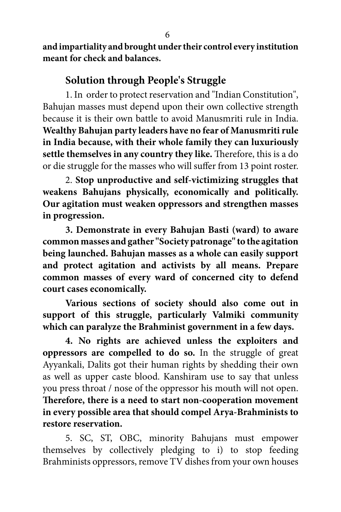**and impartiality and brought under their control every institution meant for check and balances.**

## **Solution through People's Struggle**

1. In order to protect reservation and "Indian Constitution", Bahujan masses must depend upon their own collective strength because it is their own battle to avoid Manusmriti rule in India. **Wealthy Bahujan party leaders have no fear of Manusmriti rule in India because, with their whole family they can luxuriously settle themselves in any country they like.** Therefore, this is a do or die struggle for the masses who will suffer from 13 point roster.

2. **Stop unproductive and self-victimizing struggles that weakens Bahujans physically, economically and politically. Our agitation must weaken oppressors and strengthen masses in progression.** 

**3. Demonstrate in every Bahujan Basti (ward) to aware common masses and gather "Society patronage" to the agitation being launched. Bahujan masses as a whole can easily support and protect agitation and activists by all means. Prepare common masses of every ward of concerned city to defend court cases economically.** 

**Various sections of society should also come out in support of this struggle, particularly Valmiki community which can paralyze the Brahminist government in a few days.** 

**4. No rights are achieved unless the exploiters and oppressors are compelled to do so.** In the struggle of great Ayyankali, Dalits got their human rights by shedding their own as well as upper caste blood. Kanshiram use to say that unless you press throat / nose of the oppressor his mouth will not open. **Therefore, there is a need to start non-cooperation movement in every possible area that should compel Arya-Brahminists to restore reservation.** 

5. SC, ST, OBC, minority Bahujans must empower themselves by collectively pledging to i) to stop feeding Brahminists oppressors, remove TV dishes from your own houses